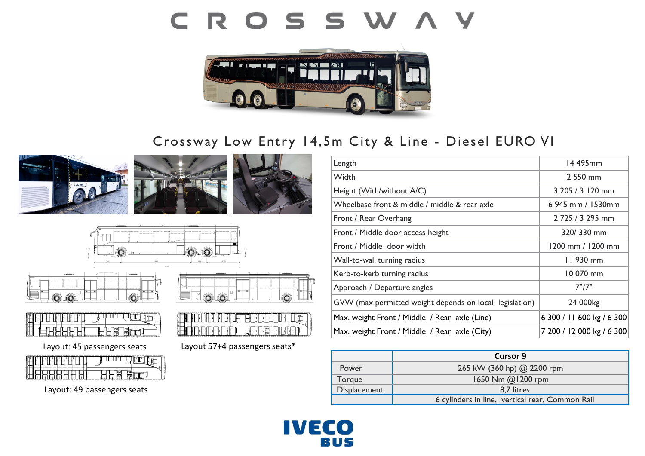# CROSSWAY



## Crossway Low Entry 14,5m City & Line - Diesel EURO VI











Layout: 45 passengers seats Layout 57+4 passengers seats\*

Layout: 49 passengers seats

| Length                                                  | 14 495mm                  |
|---------------------------------------------------------|---------------------------|
| Width                                                   | 2 550 mm                  |
| Height (With/without A/C)                               | 3 205 / 3 120 mm          |
| Wheelbase front & middle / middle & rear axle           | 6 945 mm / 1530mm         |
| Front / Rear Overhang                                   | 2 725 / 3 295 mm          |
| Front / Middle door access height                       | 320/330 mm                |
| Front / Middle door width                               | 1200 mm / 1200 mm         |
| Wall-to-wall turning radius                             | $11930$ mm                |
| Kerb-to-kerb turning radius                             | 10 070 mm                 |
| Approach / Departure angles                             | $7^{\circ}/7^{\circ}$     |
| GVW (max permitted weight depends on local legislation) | 24 000kg                  |
| Max. weight Front / Middle / Rear axle (Line)           | 6 300 / 11 600 kg / 6 300 |
| Max. weight Front / Middle / Rear axle (City)           | 7 200 / 12 000 kg / 6 300 |

|              | <b>Cursor 9</b>                                 |
|--------------|-------------------------------------------------|
| Power        | 265 kW (360 hp) @ 2200 rpm                      |
| Torque       | 1650 Nm @1200 rpm                               |
| Displacement | 8,7 litres                                      |
|              | 6 cylinders in line, vertical rear, Common Rail |